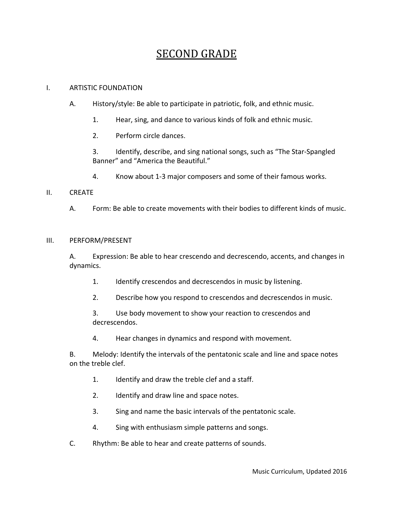# SECOND GRADE

#### I. ARTISTIC FOUNDATION

- A. History/style: Be able to participate in patriotic, folk, and ethnic music.
	- 1. Hear, sing, and dance to various kinds of folk and ethnic music.
	- 2. Perform circle dances.

3. Identify, describe, and sing national songs, such as "The Star-Spangled Banner" and "America the Beautiful."

4. Know about 1-3 major composers and some of their famous works.

### II. CREATE

A. Form: Be able to create movements with their bodies to different kinds of music.

#### III. PERFORM/PRESENT

A. Expression: Be able to hear crescendo and decrescendo, accents, and changes in dynamics.

- 1. Identify crescendos and decrescendos in music by listening.
- 2. Describe how you respond to crescendos and decrescendos in music.

3. Use body movement to show your reaction to crescendos and decrescendos.

4. Hear changes in dynamics and respond with movement.

B. Melody: Identify the intervals of the pentatonic scale and line and space notes on the treble clef.

- 1. Identify and draw the treble clef and a staff.
- 2. Identify and draw line and space notes.
- 3. Sing and name the basic intervals of the pentatonic scale.
- 4. Sing with enthusiasm simple patterns and songs.
- C. Rhythm: Be able to hear and create patterns of sounds.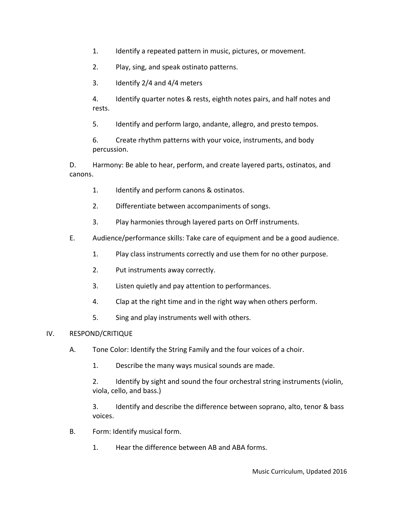- 1. Identify a repeated pattern in music, pictures, or movement.
- 2. Play, sing, and speak ostinato patterns.
- 3. Identify 2/4 and 4/4 meters

4. Identify quarter notes & rests, eighth notes pairs, and half notes and rests.

5. Identify and perform largo, andante, allegro, and presto tempos.

6. Create rhythm patterns with your voice, instruments, and body percussion.

D. Harmony: Be able to hear, perform, and create layered parts, ostinatos, and canons.

- 1. Identify and perform canons & ostinatos.
- 2. Differentiate between accompaniments of songs.
- 3. Play harmonies through layered parts on Orff instruments.
- E. Audience/performance skills: Take care of equipment and be a good audience.
	- 1. Play class instruments correctly and use them for no other purpose.
	- 2. Put instruments away correctly.
	- 3. Listen quietly and pay attention to performances.
	- 4. Clap at the right time and in the right way when others perform.
	- 5. Sing and play instruments well with others.

## IV. RESPOND/CRITIQUE

- A. Tone Color: Identify the String Family and the four voices of a choir.
	- 1. Describe the many ways musical sounds are made.

2. Identify by sight and sound the four orchestral string instruments (violin, viola, cello, and bass.)

3. Identify and describe the difference between soprano, alto, tenor & bass voices.

- B. Form: Identify musical form.
	- 1. Hear the difference between AB and ABA forms.